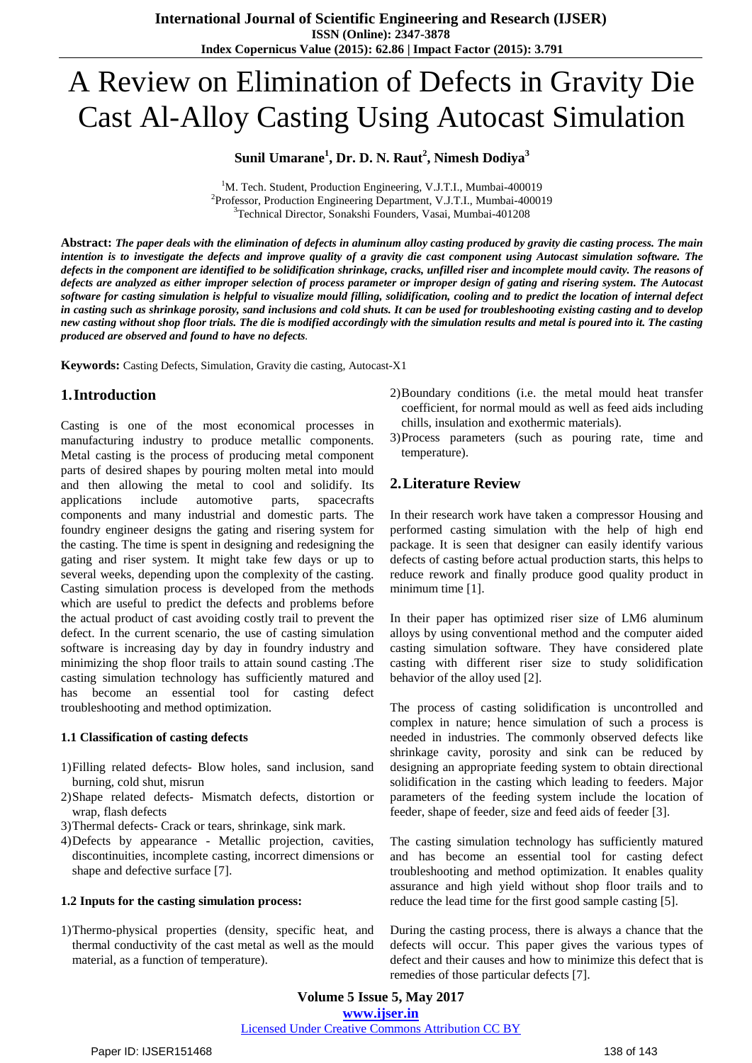# A Review on Elimination of Defects in Gravity Die Cast Al-Alloy Casting Using Autocast Simulation

## **Sunil Umarane<sup>1</sup> , Dr. D. N. Raut<sup>2</sup> , Nimesh Dodiya<sup>3</sup>**

<sup>1</sup>M. Tech. Student, Production Engineering, V.J.T.I., Mumbai-400019 <sup>2</sup>Professor, Production Engineering Department, V.J.T.I., Mumbai-400019 <sup>3</sup>Technical Director, Sonakshi Founders, Vasai, Mumbai-401208

Abstract: The paper deals with the elimination of defects in aluminum alloy casting produced by gravity die casting process. The main intention is to investigate the defects and improve quality of a gravity die cast component using Autocast simulation software. The defects in the component are identified to be solidification shrinkage, cracks, unfilled riser and incomplete mould cavity. The reasons of defects are analyzed as either improper selection of process parameter or improper design of gating and risering system. The Autocast software for casting simulation is helpful to visualize mould filling, solidification, cooling and to predict the location of internal defect in casting such as shrinkage porosity, sand inclusions and cold shuts. It can be used for troubleshooting existing casting and to develop new casting without shop floor trials. The die is modified accordingly with the simulation results and metal is poured into it. The casting *produced are observed and found to have no defects.*

**Keywords:** Casting Defects, Simulation, Gravity die casting, Autocast-X1

## **1.Introduction**

Casting is one of the most economical processes in manufacturing industry to produce metallic components. Metal casting is the process of producing metal component parts of desired shapes by pouring molten metal into mould and then allowing the metal to cool and solidify. Its applications include automotive parts, spacecrafts components and many industrial and domestic parts. The foundry engineer designs the gating and risering system for the casting. The time is spent in designing and redesigning the gating and riser system. It might take few days or up to several weeks, depending upon the complexity of the casting. Casting simulation process is developed from the methods which are useful to predict the defects and problems before the actual product of cast avoiding costly trail to prevent the defect. In the current scenario, the use of casting simulation software is increasing day by day in foundry industry and minimizing the shop floor trails to attain sound casting .The casting simulation technology has sufficiently matured and has become an essential tool for casting defect troubleshooting and method optimization.

#### **1.1 Classification of casting defects**

- 1)Filling related defects- Blow holes, sand inclusion, sand burning, cold shut, misrun
- 2)Shape related defects- Mismatch defects, distortion or wrap, flash defects
- 3)Thermal defects- Crack or tears, shrinkage, sink mark.
- 4)Defects by appearance Metallic projection, cavities, discontinuities, incomplete casting, incorrect dimensions or shape and defective surface [7].

#### **1.2 Inputs for the casting simulation process:**

1)Thermo-physical properties (density, specific heat, and thermal conductivity of the cast metal as well as the mould material, as a function of temperature).

- 2)Boundary conditions (i.e. the metal mould heat transfer coefficient, for normal mould as well as feed aids including chills, insulation and exothermic materials).
- 3)Process parameters (such as pouring rate, time and temperature).

## **2.Literature Review**

In their research work have taken a compressor Housing and performed casting simulation with the help of high end package. It is seen that designer can easily identify various defects of casting before actual production starts, this helps to reduce rework and finally produce good quality product in minimum time [1].

In their paper has optimized riser size of LM6 aluminum alloys by using conventional method and the computer aided casting simulation software. They have considered plate casting with different riser size to study solidification behavior of the alloy used [2].

The process of casting solidification is uncontrolled and complex in nature; hence simulation of such a process is needed in industries. The commonly observed defects like shrinkage cavity, porosity and sink can be reduced by designing an appropriate feeding system to obtain directional solidification in the casting which leading to feeders. Major parameters of the feeding system include the location of feeder, shape of feeder, size and feed aids of feeder [3].

The casting simulation technology has sufficiently matured and has become an essential tool for casting defect troubleshooting and method optimization. It enables quality assurance and high yield without shop floor trails and to reduce the lead time for the first good sample casting [5].

During the casting process, there is always a chance that the defects will occur. This paper gives the various types of defect and their causes and how to minimize this defect that is remedies of those particular defects [7].

**Volume 5 Issue 5, May 2017 www.ijser.in** Licensed Under Creative Commons Attribution CC BY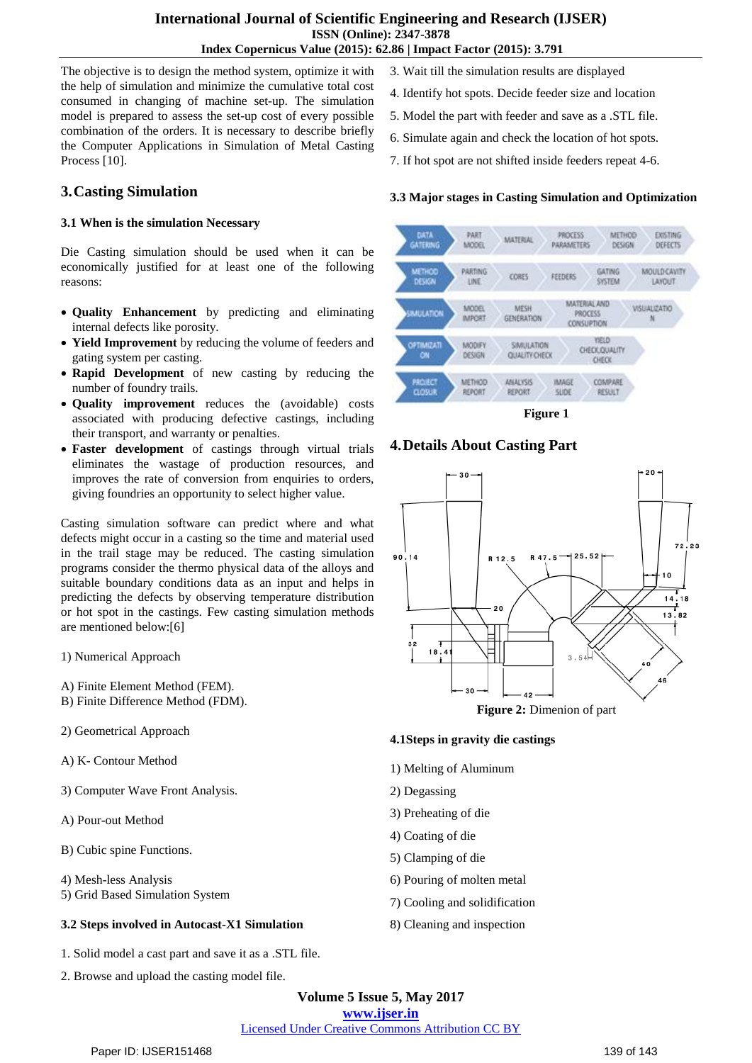The objective is to design the method system, optimize it with the help of simulation and minimize the cumulative total cost consumed in changing of machine set-up. The simulation model is prepared to assess the set-up cost of every possible combination of the orders. It is necessary to describe briefly the Computer Applications in Simulation of Metal Casting Process [10].

## **3.Casting Simulation**

#### **3.1 When is the simulation Necessary**

Die Casting simulation should be used when it can be economically justified for at least one of the following reasons:

- **Quality Enhancement** by predicting and eliminating internal defects like porosity.
- **Yield Improvement** by reducing the volume of feeders and gating system per casting.
- **Rapid Development** of new casting by reducing the number of foundry trails.
- **Quality improvement** reduces the (avoidable) costs associated with producing defective castings, including their transport, and warranty or penalties.
- **Faster development** of castings through virtual trials eliminates the wastage of production resources, and improves the rate of conversion from enquiries to orders, giving foundries an opportunity to select higher value.

Casting simulation software can predict where and what defects might occur in a casting so the time and material used in the trail stage may be reduced. The casting simulation programs consider the thermo physical data of the alloys and suitable boundary conditions data as an input and helps in predicting the defects by observing temperature distribution or hot spot in the castings. Few casting simulation methods are mentioned below:[6]

- 1) Numerical Approach
- A) Finite Element Method (FEM).
- B) Finite Difference Method (FDM).
- 2) Geometrical Approach
- A) K- Contour Method
- 3) Computer Wave Front Analysis.
- A) Pour-out Method
- B) Cubic spine Functions.
- 4) Mesh-less Analysis
- 5) Grid Based Simulation System

## **3.2 Steps involved in Autocast-X1 Simulation**

- 1. Solid model a cast part and save it as a .STL file.
- 2. Browse and upload the casting model file.
- 3. Wait till the simulation results are displayed
- 4. Identify hot spots. Decide feeder size and location
- 5. Model the part with feeder and save as a .STL file.
- 6. Simulate again and check the location of hot spots.
- 7. If hot spot are not shifted inside feeders repeat 4-6.

#### **3.3 Major stages in Casting Simulation and Optimization**



**Figure 1**

## **4.Details About Casting Part**



#### **4.1Steps in gravity die castings**

- 1) Melting of Aluminum
- 2) Degassing
- 3) Preheating of die
- 4) Coating of die
- 5) Clamping of die
- 6) Pouring of molten metal
- 7) Cooling and solidification
- 8) Cleaning and inspection

**Volume 5 Issue 5, May 2017 www.ijser.in**

Licensed Under Creative Commons Attribution CC BY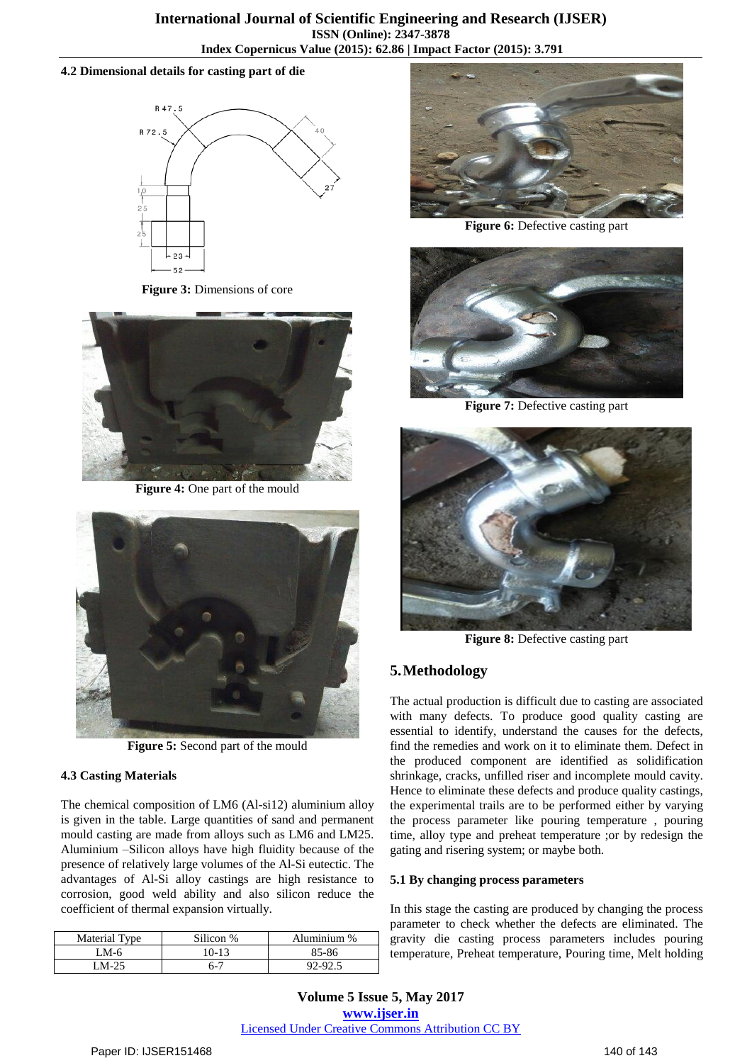#### **4.2 Dimensional details for casting part of die**



**Figure 3:** Dimensions of core



**Figure 4:** One part of the mould



**Figure 5:** Second part of the mould

## **4.3 Casting Materials**

The chemical composition of LM6 (Al-si12) aluminium alloy is given in the table. Large quantities of sand and permanent mould casting are made from alloys such as LM6 and LM25. Aluminium –Silicon alloys have high fluidity because of the presence of relatively large volumes of the Al-Si eutectic. The advantages of Al-Si alloy castings are high resistance to corrosion, good weld ability and also silicon reduce the coefficient of thermal expansion virtually.

| <b>Material Type</b> | Silicon % | Aluminium % |
|----------------------|-----------|-------------|
| LM-6                 | $10-13$   | 85-86       |
| $M-25$               | 6-7       | 92-92.5     |



**Figure 6:** Defective casting part



**Figure 7:** Defective casting part



**Figure 8:** Defective casting part

# **5.Methodology**

The actual production is difficult due to casting are associated with many defects. To produce good quality casting are essential to identify, understand the causes for the defects, find the remedies and work on it to eliminate them. Defect in the produced component are identified as solidification shrinkage, cracks, unfilled riser and incomplete mould cavity. Hence to eliminate these defects and produce quality castings, the experimental trails are to be performed either by varying the process parameter like pouring temperature , pouring time, alloy type and preheat temperature ;or by redesign the gating and risering system; or maybe both.

## **5.1 By changing process parameters**

In this stage the casting are produced by changing the process parameter to check whether the defects are eliminated. The gravity die casting process parameters includes pouring temperature, Preheat temperature, Pouring time, Melt holding

**Volume 5 Issue 5, May 2017 www.ijser.in** Licensed Under Creative Commons Attribution CC BY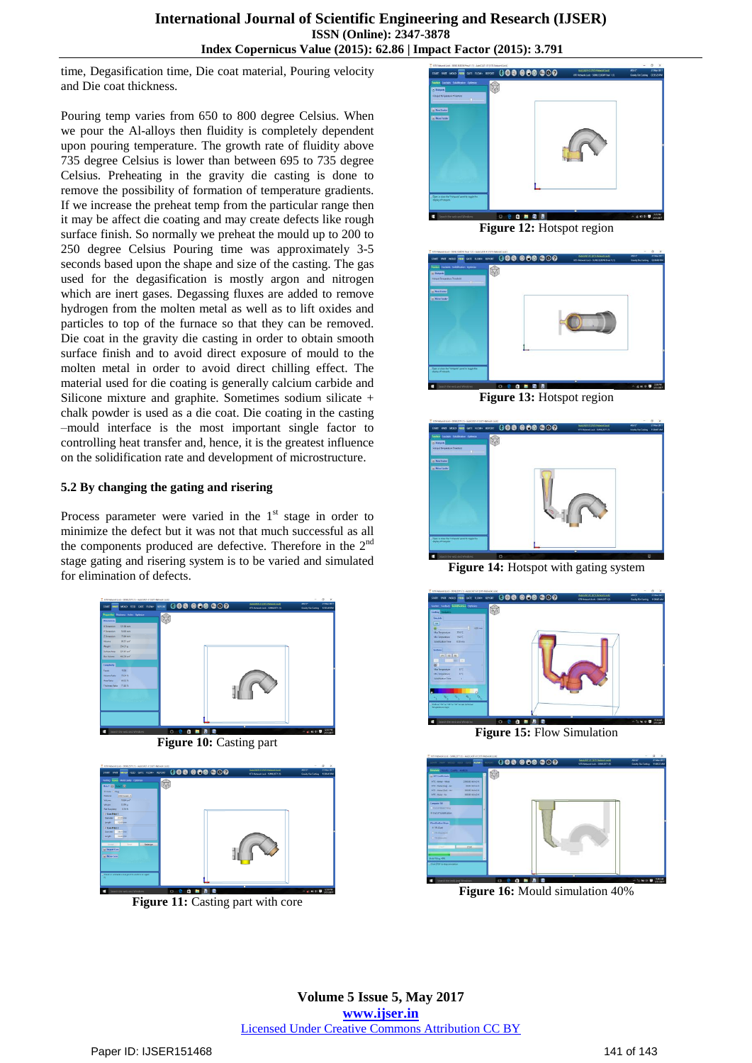time, Degasification time, Die coat material, Pouring velocity and Die coat thickness.

Pouring temp varies from 650 to 800 degree Celsius. When we pour the Al-alloys then fluidity is completely dependent upon pouring temperature. The growth rate of fluidity above 735 degree Celsius is lower than between 695 to 735 degree Celsius. Preheating in the gravity die casting is done to remove the possibility of formation of temperature gradients. If we increase the preheat temp from the particular range then it may be affect die coating and may create defects like rough surface finish. So normally we preheat the mould up to 200 to 250 degree Celsius Pouring time was approximately 3-5 seconds based upon the shape and size of the casting. The gas used for the degasification is mostly argon and nitrogen which are inert gases. Degassing fluxes are added to remove hydrogen from the molten metal as well as to lift oxides and particles to top of the furnace so that they can be removed. Die coat in the gravity die casting in order to obtain smooth surface finish and to avoid direct exposure of mould to the molten metal in order to avoid direct chilling effect. The material used for die coating is generally calcium carbide and Silicone mixture and graphite. Sometimes sodium silicate + chalk powder is used as a die coat. Die coating in the casting –mould interface is the most important single factor to controlling heat transfer and, hence, it is the greatest influence on the solidification rate and development of microstructure.

#### **5.2 By changing the gating and risering**

Process parameter were varied in the  $1<sup>st</sup>$  stage in order to minimize the defect but it was not that much successful as all the components produced are defective. Therefore in the  $2<sup>nd</sup>$ stage gating and risering system is to be varied and simulated for elimination of defects.







**Figure 11:** Casting part with core



**Figure 12:** Hotspot region



**Figure 13:** Hotspot region



**Figure 14:** Hotspot with gating system



**Figure 15:** Flow Simulation



**Figure 16:** Mould simulation 40%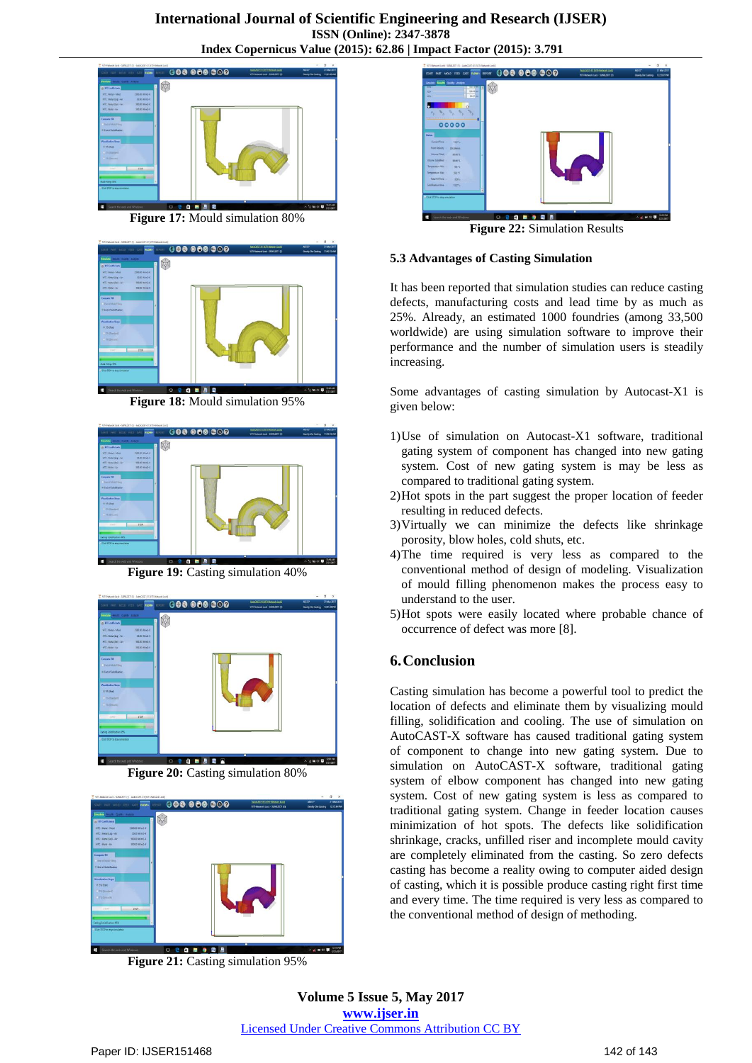

**Figure 17:** Mould simulation 80%



**Figure 18:** Mould simulation 95%



**Figure 19:** Casting simulation 40%



**Figure 20:** Casting simulation 80%



**Figure 21:** Casting simulation 95%



**Figure 22:** Simulation Results

#### **5.3 Advantages of Casting Simulation**

It has been reported that simulation studies can reduce casting defects, manufacturing costs and lead time by as much as 25%. Already, an estimated 1000 foundries (among 33,500 worldwide) are using simulation software to improve their performance and the number of simulation users is steadily increasing.

Some advantages of casting simulation by Autocast-X1 is given below:

- 1)Use of simulation on Autocast-X1 software, traditional gating system of component has changed into new gating system. Cost of new gating system is may be less as compared to traditional gating system.
- 2)Hot spots in the part suggest the proper location of feeder resulting in reduced defects.
- 3)Virtually we can minimize the defects like shrinkage porosity, blow holes, cold shuts, etc.
- 4)The time required is very less as compared to the conventional method of design of modeling. Visualization of mould filling phenomenon makes the process easy to understand to the user.
- 5)Hot spots were easily located where probable chance of occurrence of defect was more [8].

# **6.Conclusion**

Casting simulation has become a powerful tool to predict the location of defects and eliminate them by visualizing mould filling, solidification and cooling. The use of simulation on AutoCAST-X software has caused traditional gating system of component to change into new gating system. Due to simulation on AutoCAST-X software, traditional gating system of elbow component has changed into new gating system. Cost of new gating system is less as compared to traditional gating system. Change in feeder location causes minimization of hot spots. The defects like solidification shrinkage, cracks, unfilled riser and incomplete mould cavity are completely eliminated from the casting. So zero defects casting has become a reality owing to computer aided design of casting, which it is possible produce casting right first time and every time. The time required is very less as compared to the conventional method of design of methoding.